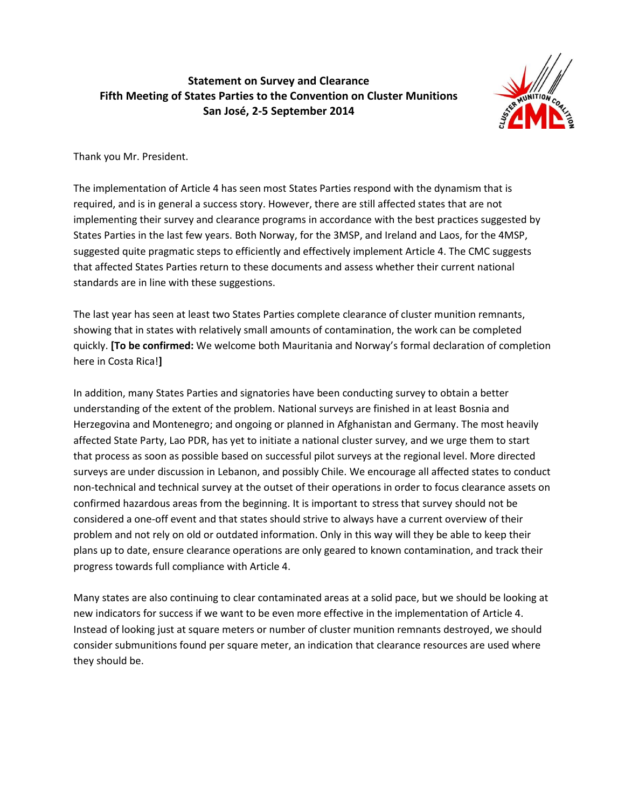## **Statement on Survey and Clearance Fifth Meeting of States Parties to the Convention on Cluster Munitions San José, 2-5 September 2014**



Thank you Mr. President.

The implementation of Article 4 has seen most States Parties respond with the dynamism that is required, and is in general a success story. However, there are still affected states that are not implementing their survey and clearance programs in accordance with the best practices suggested by States Parties in the last few years. Both Norway, for the 3MSP, and Ireland and Laos, for the 4MSP, suggested quite pragmatic steps to efficiently and effectively implement Article 4. The CMC suggests that affected States Parties return to these documents and assess whether their current national standards are in line with these suggestions.

The last year has seen at least two States Parties complete clearance of cluster munition remnants, showing that in states with relatively small amounts of contamination, the work can be completed quickly. **[To be confirmed:** We welcome both Mauritania and Norway's formal declaration of completion here in Costa Rica!**]**

In addition, many States Parties and signatories have been conducting survey to obtain a better understanding of the extent of the problem. National surveys are finished in at least Bosnia and Herzegovina and Montenegro; and ongoing or planned in Afghanistan and Germany. The most heavily affected State Party, Lao PDR, has yet to initiate a national cluster survey, and we urge them to start that process as soon as possible based on successful pilot surveys at the regional level. More directed surveys are under discussion in Lebanon, and possibly Chile. We encourage all affected states to conduct non-technical and technical survey at the outset of their operations in order to focus clearance assets on confirmed hazardous areas from the beginning. It is important to stress that survey should not be considered a one-off event and that states should strive to always have a current overview of their problem and not rely on old or outdated information. Only in this way will they be able to keep their plans up to date, ensure clearance operations are only geared to known contamination, and track their progress towards full compliance with Article 4.

Many states are also continuing to clear contaminated areas at a solid pace, but we should be looking at new indicators for success if we want to be even more effective in the implementation of Article 4. Instead of looking just at square meters or number of cluster munition remnants destroyed, we should consider submunitions found per square meter, an indication that clearance resources are used where they should be.